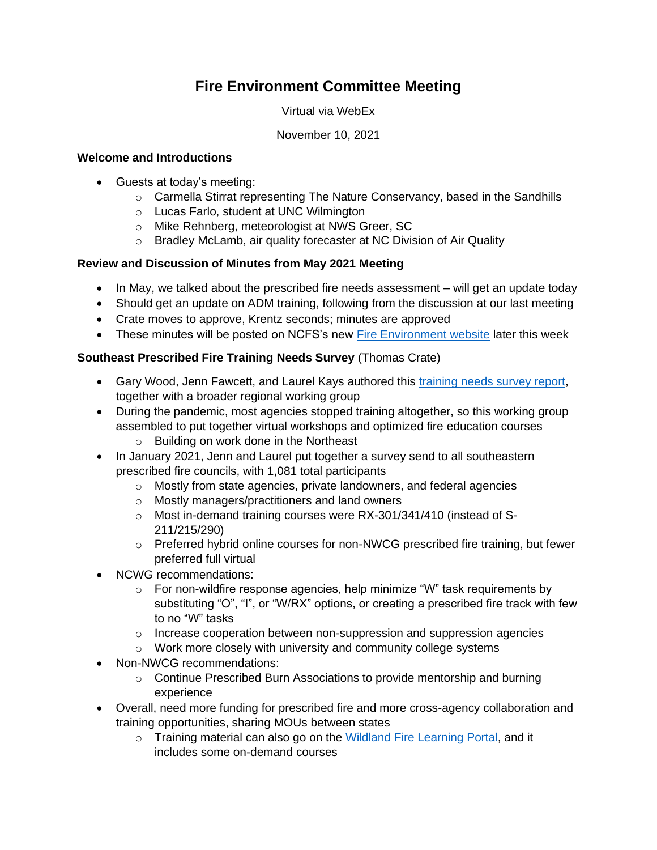# **Fire Environment Committee Meeting**

Virtual via WebEx

#### November 10, 2021

#### **Welcome and Introductions**

- Guests at today's meeting:
	- $\circ$  Carmella Stirrat representing The Nature Conservancy, based in the Sandhills
	- o Lucas Farlo, student at UNC Wilmington
	- o Mike Rehnberg, meteorologist at NWS Greer, SC
	- o Bradley McLamb, air quality forecaster at NC Division of Air Quality

## **Review and Discussion of Minutes from May 2021 Meeting**

- In May, we talked about the prescribed fire needs assessment will get an update today
- Should get an update on ADM training, following from the discussion at our last meeting
- Crate moves to approve, Krentz seconds; minutes are approved
- These minutes will be posted on NCFS's new [Fire Environment website](https://www.ncforestservice.gov/fire_control/fc_fire_environment.htm) later this week

## **Southeast Prescribed Fire Training Needs Survey** (Thomas Crate)

- Gary Wood, Jenn Fawcett, and Laurel Kays authored this [training needs survey report,](https://southernfireexchange.org/wp-content/uploads/SERxFire-TrainingNeeds-FinalReport-LR.pdf) together with a broader regional working group
- During the pandemic, most agencies stopped training altogether, so this working group assembled to put together virtual workshops and optimized fire education courses o Building on work done in the Northeast
- In January 2021, Jenn and Laurel put together a survey send to all southeastern prescribed fire councils, with 1,081 total participants
	- o Mostly from state agencies, private landowners, and federal agencies
	- o Mostly managers/practitioners and land owners
	- o Most in-demand training courses were RX-301/341/410 (instead of S-211/215/290)
	- $\circ$  Preferred hybrid online courses for non-NWCG prescribed fire training, but fewer preferred full virtual
- NCWG recommendations:
	- $\circ$  For non-wildfire response agencies, help minimize "W" task requirements by substituting "O", "I", or "W/RX" options, or creating a prescribed fire track with few to no "W" tasks
	- $\circ$  Increase cooperation between non-suppression and suppression agencies
	- o Work more closely with university and community college systems
- Non-NWCG recommendations:
	- $\circ$  Continue Prescribed Burn Associations to provide mentorship and burning experience
- Overall, need more funding for prescribed fire and more cross-agency collaboration and training opportunities, sharing MOUs between states
	- o Training material can also go on the [Wildland Fire Learning Portal,](https://wildlandfirelearningportal.net/) and it includes some on-demand courses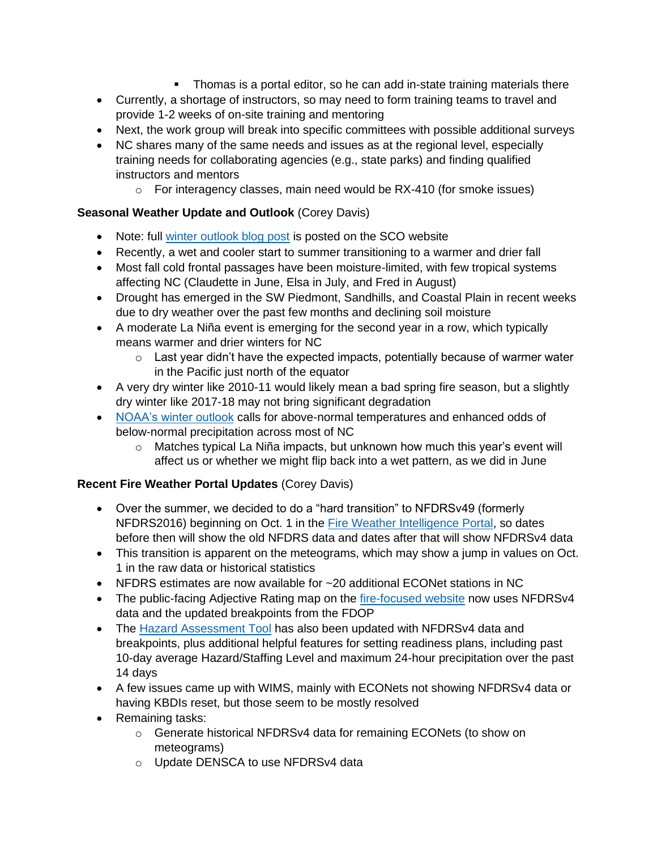- **Thomas is a portal editor, so he can add in-state training materials there**
- Currently, a shortage of instructors, so may need to form training teams to travel and provide 1-2 weeks of on-site training and mentoring
- Next, the work group will break into specific committees with possible additional surveys
- NC shares many of the same needs and issues as at the regional level, especially training needs for collaborating agencies (e.g., state parks) and finding qualified instructors and mentors
	- o For interagency classes, main need would be RX-410 (for smoke issues)

## **Seasonal Weather Update and Outlook** (Corey Davis)

- Note: full [winter outlook blog post](https://climate.ncsu.edu/blog/2021/11/winter-outlook-2021-22-la-nina-take-two/) is posted on the SCO website
- Recently, a wet and cooler start to summer transitioning to a warmer and drier fall
- Most fall cold frontal passages have been moisture-limited, with few tropical systems affecting NC (Claudette in June, Elsa in July, and Fred in August)
- Drought has emerged in the SW Piedmont, Sandhills, and Coastal Plain in recent weeks due to dry weather over the past few months and declining soil moisture
- A moderate La Niña event is emerging for the second year in a row, which typically means warmer and drier winters for NC
	- $\circ$  Last year didn't have the expected impacts, potentially because of warmer water in the Pacific just north of the equator
- A very dry winter like 2010-11 would likely mean a bad spring fire season, but a slightly dry winter like 2017-18 may not bring significant degradation
- [NOAA's winter outlook](https://www.noaa.gov/news-release/us-winter-outlook-drier-warmer-south-wetter-north-with-return-of-la-nina) calls for above-normal temperatures and enhanced odds of below-normal precipitation across most of NC
	- $\circ$  Matches typical La Niña impacts, but unknown how much this year's event will affect us or whether we might flip back into a wet pattern, as we did in June

## **Recent Fire Weather Portal Updates** (Corey Davis)

- Over the summer, we decided to do a "hard transition" to NFDRSv49 (formerly NFDRS2016) beginning on Oct. 1 in the [Fire Weather Intelligence Portal,](https://climate.ncsu.edu/fwip) so dates before then will show the old NFDRS data and dates after that will show NFDRSv4 data
- This transition is apparent on the meteograms, which may show a jump in values on Oct. 1 in the raw data or historical statistics
- NFDRS estimates are now available for ~20 additional ECONet stations in NC
- The public-facing Adjective Rating map on the [fire-focused website](https://climate.ncsu.edu/fire/) now uses NFDRSv4 data and the updated breakpoints from the FDOP
- The [Hazard Assessment Tool](https://products.climate.ncsu.edu/fwip/hazard.php) has also been updated with NFDRSv4 data and breakpoints, plus additional helpful features for setting readiness plans, including past 10-day average Hazard/Staffing Level and maximum 24-hour precipitation over the past 14 days
- A few issues came up with WIMS, mainly with ECONets not showing NFDRSv4 data or having KBDIs reset, but those seem to be mostly resolved
- Remaining tasks:
	- o Generate historical NFDRSv4 data for remaining ECONets (to show on meteograms)
	- o Update DENSCA to use NFDRSv4 data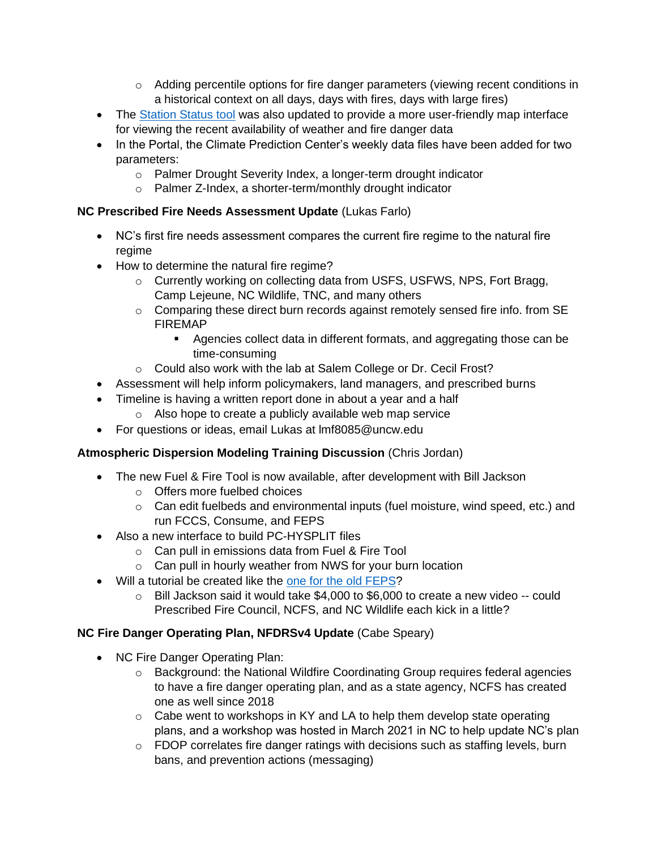- $\circ$  Adding percentile options for fire danger parameters (viewing recent conditions in a historical context on all days, days with fires, days with large fires)
- The [Station Status tool](https://products.climate.ncsu.edu/fwip/status.php) was also updated to provide a more user-friendly map interface for viewing the recent availability of weather and fire danger data
- In the Portal, the Climate Prediction Center's weekly data files have been added for two parameters:
	- o Palmer Drought Severity Index, a longer-term drought indicator
	- o Palmer Z-Index, a shorter-term/monthly drought indicator

## **NC Prescribed Fire Needs Assessment Update** (Lukas Farlo)

- NC's first fire needs assessment compares the current fire regime to the natural fire regime
- How to determine the natural fire regime?
	- $\circ$  Currently working on collecting data from USFS, USFWS, NPS, Fort Bragg, Camp Lejeune, NC Wildlife, TNC, and many others
	- $\circ$  Comparing these direct burn records against remotely sensed fire info. from SE FIREMAP
		- Agencies collect data in different formats, and aggregating those can be time-consuming
	- o Could also work with the lab at Salem College or Dr. Cecil Frost?
- Assessment will help inform policymakers, land managers, and prescribed burns
- Timeline is having a written report done in about a year and a half
	- o Also hope to create a publicly available web map service
- For questions or ideas, email Lukas at lmf8085@uncw.edu

# **Atmospheric Dispersion Modeling Training Discussion** (Chris Jordan)

- The new Fuel & Fire Tool is now available, after development with Bill Jackson
	- o Offers more fuelbed choices
	- $\circ$  Can edit fuelbeds and environmental inputs (fuel moisture, wind speed, etc.) and run FCCS, Consume, and FEPS
- Also a new interface to build PC-HYSPLIT files
	- o Can pull in emissions data from Fuel & Fire Tool
	- o Can pull in hourly weather from NWS for your burn location
- Will a tutorial be created like the [one for the old FEPS?](https://www.fs.fed.us/pnw/fera/research/tutorials/materials/feps_tutorial_html/)
	- $\circ$  Bill Jackson said it would take \$4,000 to \$6,000 to create a new video -- could Prescribed Fire Council, NCFS, and NC Wildlife each kick in a little?

# **NC Fire Danger Operating Plan, NFDRSv4 Update** (Cabe Speary)

- NC Fire Danger Operating Plan:
	- o Background: the National Wildfire Coordinating Group requires federal agencies to have a fire danger operating plan, and as a state agency, NCFS has created one as well since 2018
	- $\circ$  Cabe went to workshops in KY and LA to help them develop state operating plans, and a workshop was hosted in March 2021 in NC to help update NC's plan
	- o FDOP correlates fire danger ratings with decisions such as staffing levels, burn bans, and prevention actions (messaging)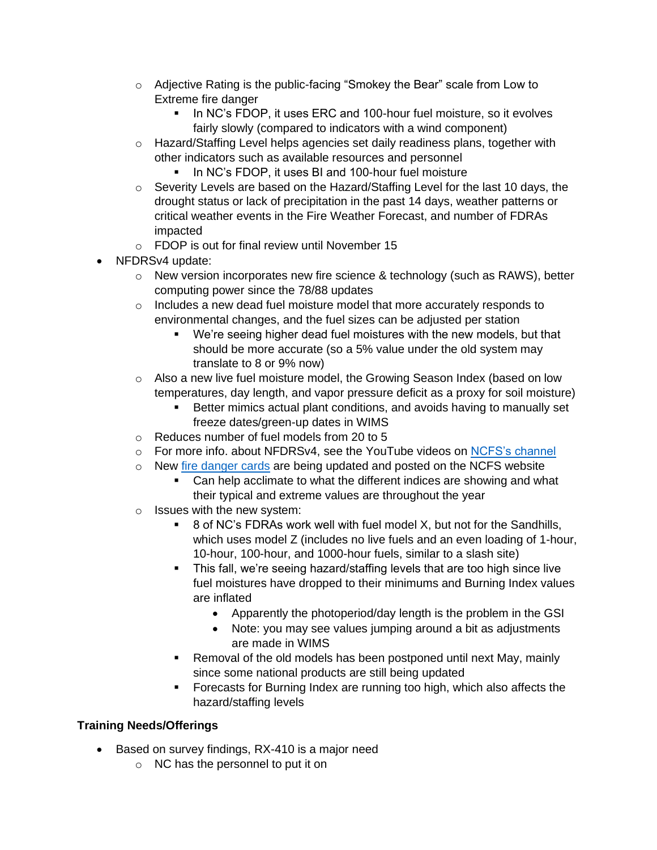- $\circ$  Adjective Rating is the public-facing "Smokey the Bear" scale from Low to Extreme fire danger
	- In NC's FDOP, it uses ERC and 100-hour fuel moisture, so it evolves fairly slowly (compared to indicators with a wind component)
- o Hazard/Staffing Level helps agencies set daily readiness plans, together with other indicators such as available resources and personnel
	- **.** In NC's FDOP, it uses BI and 100-hour fuel moisture
- $\circ$  Severity Levels are based on the Hazard/Staffing Level for the last 10 days, the drought status or lack of precipitation in the past 14 days, weather patterns or critical weather events in the Fire Weather Forecast, and number of FDRAs impacted
- o FDOP is out for final review until November 15
- NFDRSv4 update:
	- $\circ$  New version incorporates new fire science & technology (such as RAWS), better computing power since the 78/88 updates
	- $\circ$  Includes a new dead fuel moisture model that more accurately responds to environmental changes, and the fuel sizes can be adjusted per station
		- We're seeing higher dead fuel moistures with the new models, but that should be more accurate (so a 5% value under the old system may translate to 8 or 9% now)
	- o Also a new live fuel moisture model, the Growing Season Index (based on low temperatures, day length, and vapor pressure deficit as a proxy for soil moisture)
		- Better mimics actual plant conditions, and avoids having to manually set freeze dates/green-up dates in WIMS
	- o Reduces number of fuel models from 20 to 5
	- o For more info. about NFDRSv4, see the YouTube videos on [NCFS's channel](https://www.youtube.com/user/ncforestservice/)
	- o New [fire danger cards](https://www.ncforestservice.gov/fire_control/fc_pocketcards.htm) are being updated and posted on the NCFS website
		- Can help acclimate to what the different indices are showing and what their typical and extreme values are throughout the year
	- o Issues with the new system:
		- 8 of NC's FDRAs work well with fuel model X, but not for the Sandhills, which uses model Z (includes no live fuels and an even loading of 1-hour, 10-hour, 100-hour, and 1000-hour fuels, similar to a slash site)
		- **•** This fall, we're seeing hazard/staffing levels that are too high since live fuel moistures have dropped to their minimums and Burning Index values are inflated
			- Apparently the photoperiod/day length is the problem in the GSI
			- Note: you may see values jumping around a bit as adjustments are made in WIMS
		- Removal of the old models has been postponed until next May, mainly since some national products are still being updated
		- Forecasts for Burning Index are running too high, which also affects the hazard/staffing levels

# **Training Needs/Offerings**

- Based on survey findings, RX-410 is a major need
	- o NC has the personnel to put it on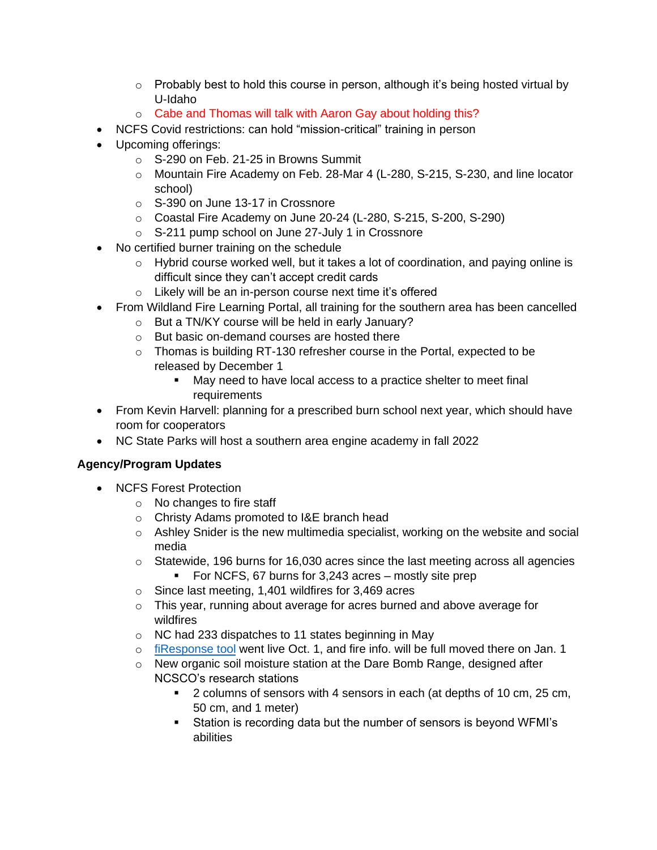- $\circ$  Probably best to hold this course in person, although it's being hosted virtual by U-Idaho
- o Cabe and Thomas will talk with Aaron Gay about holding this?
- NCFS Covid restrictions: can hold "mission-critical" training in person
- Upcoming offerings:
	- o S-290 on Feb. 21-25 in Browns Summit
	- o Mountain Fire Academy on Feb. 28-Mar 4 (L-280, S-215, S-230, and line locator school)
	- o S-390 on June 13-17 in Crossnore
	- o Coastal Fire Academy on June 20-24 (L-280, S-215, S-200, S-290)
	- o S-211 pump school on June 27-July 1 in Crossnore
- No certified burner training on the schedule
	- $\circ$  Hybrid course worked well, but it takes a lot of coordination, and paying online is difficult since they can't accept credit cards
	- o Likely will be an in-person course next time it's offered
- From Wildland Fire Learning Portal, all training for the southern area has been cancelled
	- o But a TN/KY course will be held in early January?
	- o But basic on-demand courses are hosted there
	- o Thomas is building RT-130 refresher course in the Portal, expected to be released by December 1
		- May need to have local access to a practice shelter to meet final requirements
- From Kevin Harvell: planning for a prescribed burn school next year, which should have room for cooperators
- NC State Parks will host a southern area engine academy in fall 2022

# **Agency/Program Updates**

- NCFS Forest Protection
	- o No changes to fire staff
	- o Christy Adams promoted to I&E branch head
	- $\circ$  Ashley Snider is the new multimedia specialist, working on the website and social media
	- o Statewide, 196 burns for 16,030 acres since the last meeting across all agencies
		- For NCFS, 67 burns for 3,243 acres mostly site prep
	- o Since last meeting, 1,401 wildfires for 3,469 acres
	- $\circ$  This year, running about average for acres burned and above average for wildfires
	- o NC had 233 dispatches to 11 states beginning in May
	- o [fiResponse tool](https://ncfspublic.firesponse.com/) went live Oct. 1, and fire info. will be full moved there on Jan. 1
	- $\circ$  New organic soil moisture station at the Dare Bomb Range, designed after NCSCO's research stations
		- 2 columns of sensors with 4 sensors in each (at depths of 10 cm, 25 cm, 50 cm, and 1 meter)
		- Station is recording data but the number of sensors is beyond WFMI's abilities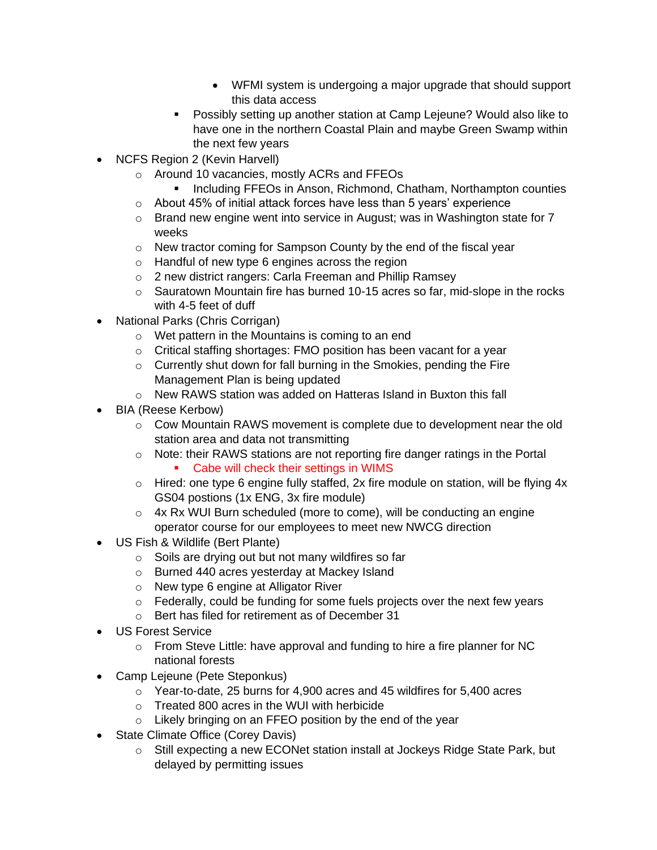- WFMI system is undergoing a major upgrade that should support this data access
- Possibly setting up another station at Camp Lejeune? Would also like to have one in the northern Coastal Plain and maybe Green Swamp within the next few years
- NCFS Region 2 (Kevin Harvell)
	- o Around 10 vacancies, mostly ACRs and FFEOs
		- **■** Including FFEOs in Anson, Richmond, Chatham, Northampton counties
	- o About 45% of initial attack forces have less than 5 years' experience
	- $\circ$  Brand new engine went into service in August; was in Washington state for 7 weeks
	- o New tractor coming for Sampson County by the end of the fiscal year
	- o Handful of new type 6 engines across the region
	- o 2 new district rangers: Carla Freeman and Phillip Ramsey
	- o Sauratown Mountain fire has burned 10-15 acres so far, mid-slope in the rocks with 4-5 feet of duff
- National Parks (Chris Corrigan)
	- o Wet pattern in the Mountains is coming to an end
	- o Critical staffing shortages: FMO position has been vacant for a year
	- o Currently shut down for fall burning in the Smokies, pending the Fire Management Plan is being updated
	- o New RAWS station was added on Hatteras Island in Buxton this fall
- BIA (Reese Kerbow)
	- o Cow Mountain RAWS movement is complete due to development near the old station area and data not transmitting
	- o Note: their RAWS stations are not reporting fire danger ratings in the Portal ■ Cabe will check their settings in WIMS
	- o Hired: one type 6 engine fully staffed, 2x fire module on station, will be flying 4x GS04 postions (1x ENG, 3x fire module)
	- o 4x Rx WUI Burn scheduled (more to come), will be conducting an engine operator course for our employees to meet new NWCG direction
- US Fish & Wildlife (Bert Plante)
	- o Soils are drying out but not many wildfires so far
	- o Burned 440 acres yesterday at Mackey Island
	- o New type 6 engine at Alligator River
	- $\circ$  Federally, could be funding for some fuels projects over the next few years
	- o Bert has filed for retirement as of December 31
- US Forest Service
	- o From Steve Little: have approval and funding to hire a fire planner for NC national forests
- Camp Lejeune (Pete Steponkus)
	- o Year-to-date, 25 burns for 4,900 acres and 45 wildfires for 5,400 acres
	- o Treated 800 acres in the WUI with herbicide
	- o Likely bringing on an FFEO position by the end of the year
- State Climate Office (Corey Davis)
	- o Still expecting a new ECONet station install at Jockeys Ridge State Park, but delayed by permitting issues